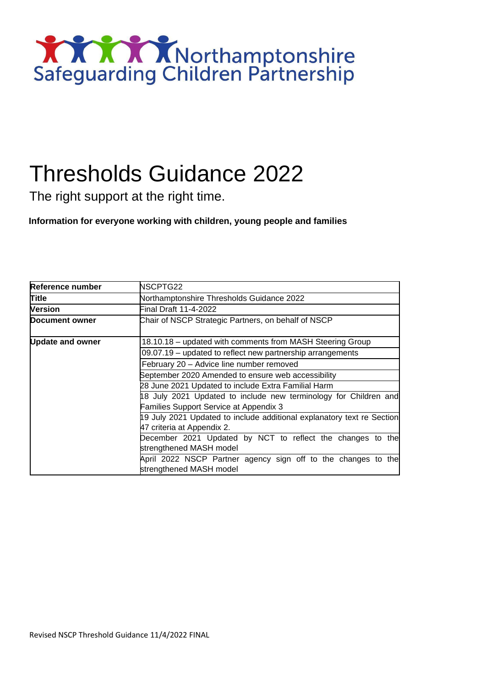

# Thresholds Guidance 2022

The right support at the right time.

**Information for everyone working with children, young people and families** 

| Reference number        | NSCPTG22                                                                                 |  |  |  |  |
|-------------------------|------------------------------------------------------------------------------------------|--|--|--|--|
| Title                   | Northamptonshire Thresholds Guidance 2022                                                |  |  |  |  |
| <b>Version</b>          | Final Draft 11-4-2022                                                                    |  |  |  |  |
| Document owner          | Chair of NSCP Strategic Partners, on behalf of NSCP                                      |  |  |  |  |
| <b>Update and owner</b> | 18.10.18 - updated with comments from MASH Steering Group                                |  |  |  |  |
|                         | 09.07.19 – updated to reflect new partnership arrangements                               |  |  |  |  |
|                         | February 20 - Advice line number removed                                                 |  |  |  |  |
|                         | September 2020 Amended to ensure web accessibility                                       |  |  |  |  |
|                         | 28 June 2021 Updated to include Extra Familial Harm                                      |  |  |  |  |
|                         | 18 July 2021 Updated to include new terminology for Children and                         |  |  |  |  |
|                         | <b>Families Support Service at Appendix 3</b>                                            |  |  |  |  |
|                         | 19 July 2021 Updated to include additional explanatory text re Section                   |  |  |  |  |
|                         | 47 criteria at Appendix 2.                                                               |  |  |  |  |
|                         | December 2021 Updated by NCT to reflect the changes to the                               |  |  |  |  |
|                         | strengthened MASH model                                                                  |  |  |  |  |
|                         | April 2022 NSCP Partner agency sign off to the changes to the<br>strengthened MASH model |  |  |  |  |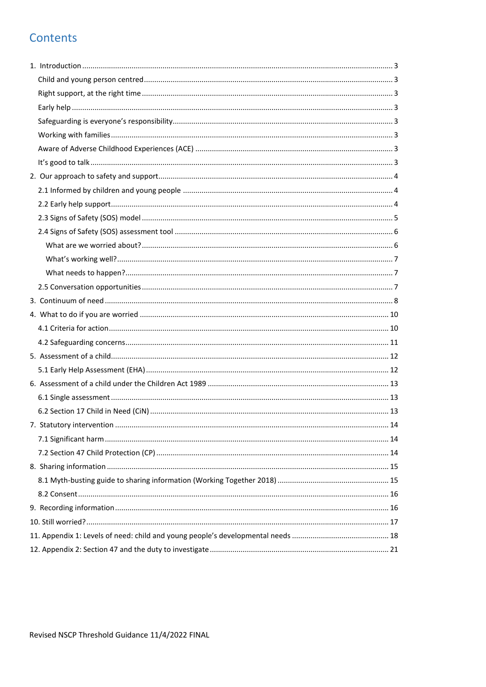# Contents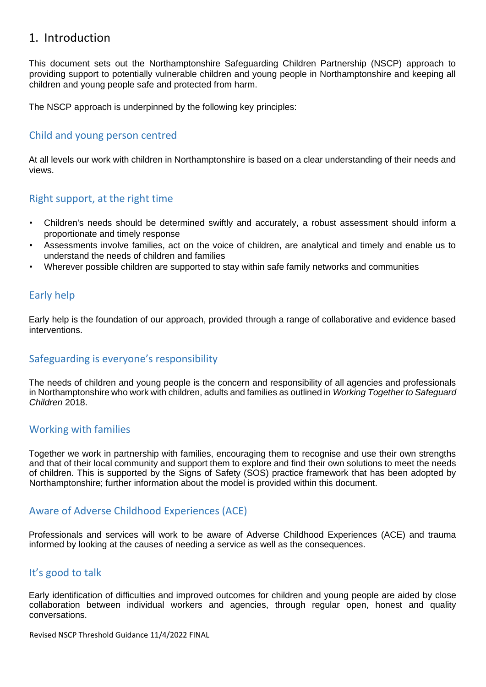# <span id="page-2-0"></span>1. Introduction

This document sets out the Northamptonshire Safeguarding Children Partnership (NSCP) approach to providing support to potentially vulnerable children and young people in Northamptonshire and keeping all children and young people safe and protected from harm.

The NSCP approach is underpinned by the following key principles:

### <span id="page-2-1"></span>Child and young person centred

At all levels our work with children in Northamptonshire is based on a clear understanding of their needs and views.

### <span id="page-2-2"></span>Right support, at the right time

- Children's needs should be determined swiftly and accurately, a robust assessment should inform a proportionate and timely response
- Assessments involve families, act on the voice of children, are analytical and timely and enable us to understand the needs of children and families
- Wherever possible children are supported to stay within safe family networks and communities

### <span id="page-2-3"></span>Early help

Early help is the foundation of our approach, provided through a range of collaborative and evidence based interventions.

### <span id="page-2-4"></span>Safeguarding is everyone's responsibility

The needs of children and young people is the concern and responsibility of all agencies and professionals in Northamptonshire who work with children, adults and families as outlined in *Working Together to Safeguard Children* 2018.

### <span id="page-2-5"></span>Working with families

Together we work in partnership with families, encouraging them to recognise and use their own strengths and that of their local community and support them to explore and find their own solutions to meet the needs of children. This is supported by the Signs of Safety (SOS) practice framework that has been adopted by Northamptonshire; further information about the model is provided within this document.

# <span id="page-2-6"></span>Aware of Adverse Childhood Experiences (ACE)

Professionals and services will work to be aware of Adverse Childhood Experiences (ACE) and trauma informed by looking at the causes of needing a service as well as the consequences.

### <span id="page-2-7"></span>It's good to talk

Early identification of difficulties and improved outcomes for children and young people are aided by close collaboration between individual workers and agencies, through regular open, honest and quality conversations.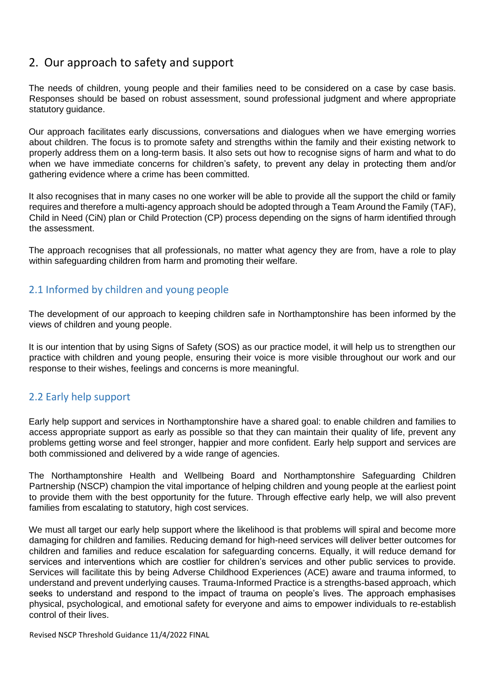# <span id="page-3-0"></span>2. Our approach to safety and support

The needs of children, young people and their families need to be considered on a case by case basis. Responses should be based on robust assessment, sound professional judgment and where appropriate statutory guidance.

Our approach facilitates early discussions, conversations and dialogues when we have emerging worries about children. The focus is to promote safety and strengths within the family and their existing network to properly address them on a long-term basis. It also sets out how to recognise signs of harm and what to do when we have immediate concerns for children's safety, to prevent any delay in protecting them and/or gathering evidence where a crime has been committed.

It also recognises that in many cases no one worker will be able to provide all the support the child or family requires and therefore a multi-agency approach should be adopted through a Team Around the Family (TAF), Child in Need (CiN) plan or Child Protection (CP) process depending on the signs of harm identified through the assessment.

The approach recognises that all professionals, no matter what agency they are from, have a role to play within safeguarding children from harm and promoting their welfare.

# <span id="page-3-1"></span>2.1 Informed by children and young people

The development of our approach to keeping children safe in Northamptonshire has been informed by the views of children and young people.

It is our intention that by using Signs of Safety (SOS) as our practice model, it will help us to strengthen our practice with children and young people, ensuring their voice is more visible throughout our work and our response to their wishes, feelings and concerns is more meaningful.

# <span id="page-3-2"></span>2.2 Early help support

Early help support and services in Northamptonshire have a shared goal: to enable children and families to access appropriate support as early as possible so that they can maintain their quality of life, prevent any problems getting worse and feel stronger, happier and more confident. Early help support and services are both commissioned and delivered by a wide range of agencies.

The Northamptonshire Health and Wellbeing Board and Northamptonshire Safeguarding Children Partnership (NSCP) champion the vital importance of helping children and young people at the earliest point to provide them with the best opportunity for the future. Through effective early help, we will also prevent families from escalating to statutory, high cost services.

We must all target our early help support where the likelihood is that problems will spiral and become more damaging for children and families. Reducing demand for high-need services will deliver better outcomes for children and families and reduce escalation for safeguarding concerns. Equally, it will reduce demand for services and interventions which are costlier for children's services and other public services to provide. Services will facilitate this by being Adverse Childhood Experiences (ACE) aware and trauma informed, to understand and prevent underlying causes. Trauma-Informed Practice is a strengths-based approach, which seeks to understand and respond to the impact of trauma on people's lives. The approach emphasises physical, psychological, and emotional safety for everyone and aims to empower individuals to re-establish control of their lives.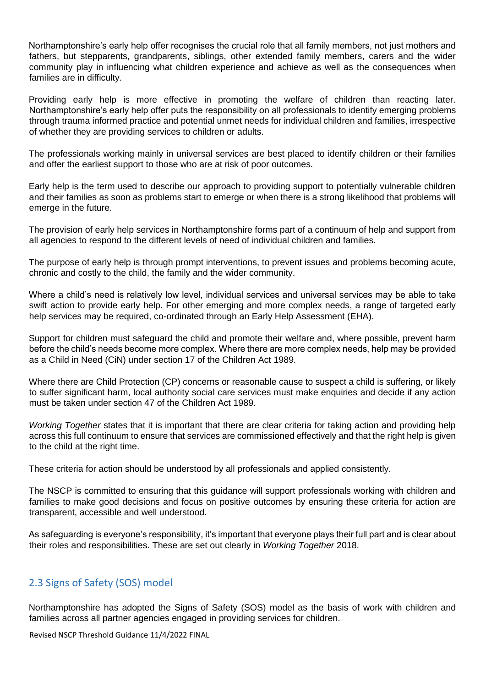Northamptonshire's early help offer recognises the crucial role that all family members, not just mothers and fathers, but stepparents, grandparents, siblings, other extended family members, carers and the wider community play in influencing what children experience and achieve as well as the consequences when families are in difficulty.

Providing early help is more effective in promoting the welfare of children than reacting later. Northamptonshire's early help offer puts the responsibility on all professionals to identify emerging problems through trauma informed practice and potential unmet needs for individual children and families, irrespective of whether they are providing services to children or adults.

The professionals working mainly in universal services are best placed to identify children or their families and offer the earliest support to those who are at risk of poor outcomes.

Early help is the term used to describe our approach to providing support to potentially vulnerable children and their families as soon as problems start to emerge or when there is a strong likelihood that problems will emerge in the future.

The provision of early help services in Northamptonshire forms part of a continuum of help and support from all agencies to respond to the different levels of need of individual children and families.

The purpose of early help is through prompt interventions, to prevent issues and problems becoming acute, chronic and costly to the child, the family and the wider community.

Where a child's need is relatively low level, individual services and universal services may be able to take swift action to provide early help. For other emerging and more complex needs, a range of targeted early help services may be required, co-ordinated through an Early Help Assessment (EHA).

Support for children must safeguard the child and promote their welfare and, where possible, prevent harm before the child's needs become more complex. Where there are more complex needs, help may be provided as a Child in Need (CiN) under section 17 of the Children Act 1989.

Where there are Child Protection (CP) concerns or reasonable cause to suspect a child is suffering, or likely to suffer significant harm, local authority social care services must make enquiries and decide if any action must be taken under section 47 of the Children Act 1989.

*Working Together* states that it is important that there are clear criteria for taking action and providing help across this full continuum to ensure that services are commissioned effectively and that the right help is given to the child at the right time.

These criteria for action should be understood by all professionals and applied consistently.

The NSCP is committed to ensuring that this guidance will support professionals working with children and families to make good decisions and focus on positive outcomes by ensuring these criteria for action are transparent, accessible and well understood.

As safeguarding is everyone's responsibility, it's important that everyone plays their full part and is clear about their roles and responsibilities. These are set out clearly in *Working Together* 2018.

# <span id="page-4-0"></span>2.3 Signs of Safety (SOS) model

Northamptonshire has adopted the Signs of Safety (SOS) model as the basis of work with children and families across all partner agencies engaged in providing services for children.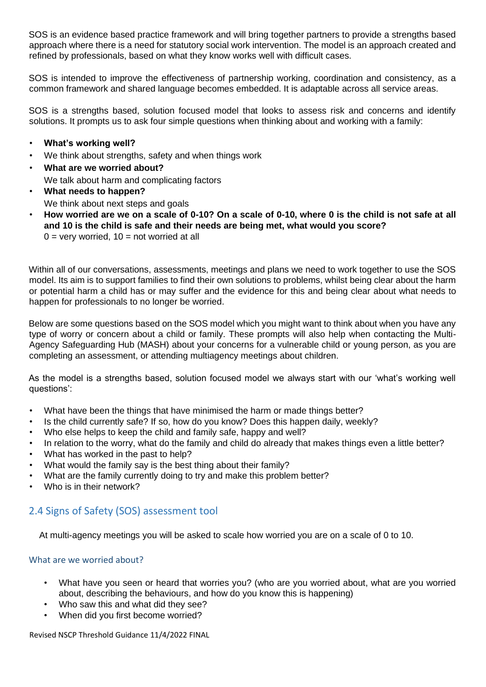SOS is an evidence based practice framework and will bring together partners to provide a strengths based approach where there is a need for statutory social work intervention. The model is an approach created and refined by professionals, based on what they know works well with difficult cases.

SOS is intended to improve the effectiveness of partnership working, coordination and consistency, as a common framework and shared language becomes embedded. It is adaptable across all service areas.

SOS is a strengths based, solution focused model that looks to assess risk and concerns and identify solutions. It prompts us to ask four simple questions when thinking about and working with a family:

- **What's working well?**
- We think about strengths, safety and when things work
- **What are we worried about?** We talk about harm and complicating factors
- **What needs to happen?** We think about next steps and goals
- **How worried are we on a scale of 0-10? On a scale of 0-10, where 0 is the child is not safe at all and 10 is the child is safe and their needs are being met, what would you score?**  $0 =$  very worried,  $10 =$  not worried at all

Within all of our conversations, assessments, meetings and plans we need to work together to use the SOS model. Its aim is to support families to find their own solutions to problems, whilst being clear about the harm or potential harm a child has or may suffer and the evidence for this and being clear about what needs to happen for professionals to no longer be worried.

Below are some questions based on the SOS model which you might want to think about when you have any type of worry or concern about a child or family. These prompts will also help when contacting the Multi-Agency Safeguarding Hub (MASH) about your concerns for a vulnerable child or young person, as you are completing an assessment, or attending multiagency meetings about children.

As the model is a strengths based, solution focused model we always start with our 'what's working well questions':

- What have been the things that have minimised the harm or made things better?
- Is the child currently safe? If so, how do you know? Does this happen daily, weekly?
- Who else helps to keep the child and family safe, happy and well?
- In relation to the worry, what do the family and child do already that makes things even a little better?
- What has worked in the past to help?
- What would the family say is the best thing about their family?
- What are the family currently doing to try and make this problem better?
- Who is in their network?

# <span id="page-5-0"></span>2.4 Signs of Safety (SOS) assessment tool

At multi-agency meetings you will be asked to scale how worried you are on a scale of 0 to 10.

### <span id="page-5-1"></span>What are we worried about?

- What have you seen or heard that worries you? (who are you worried about, what are you worried about, describing the behaviours, and how do you know this is happening)
- Who saw this and what did they see?
- When did you first become worried?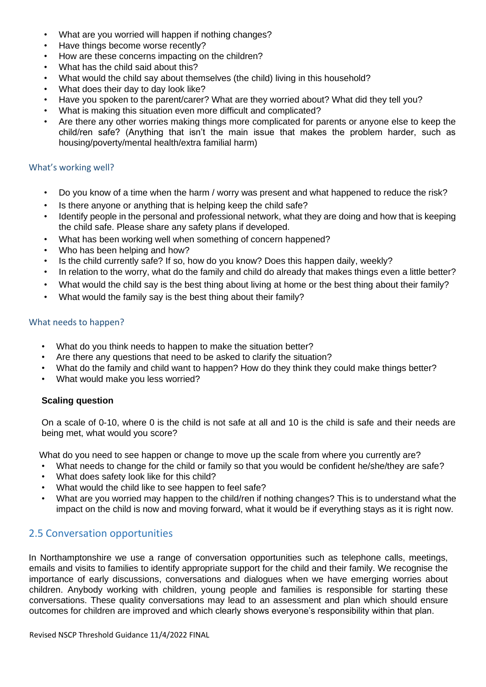- What are you worried will happen if nothing changes?
- Have things become worse recently?
- How are these concerns impacting on the children?
- What has the child said about this?
- What would the child say about themselves (the child) living in this household?
- What does their day to day look like?
- Have you spoken to the parent/carer? What are they worried about? What did they tell you?
- What is making this situation even more difficult and complicated?
- Are there any other worries making things more complicated for parents or anyone else to keep the child/ren safe? (Anything that isn't the main issue that makes the problem harder, such as housing/poverty/mental health/extra familial harm)

### <span id="page-6-0"></span>What's working well?

- Do you know of a time when the harm / worry was present and what happened to reduce the risk?
- Is there anyone or anything that is helping keep the child safe?
- Identify people in the personal and professional network, what they are doing and how that is keeping the child safe. Please share any safety plans if developed.
- What has been working well when something of concern happened?
- Who has been helping and how?
- Is the child currently safe? If so, how do you know? Does this happen daily, weekly?
- In relation to the worry, what do the family and child do already that makes things even a little better?
- What would the child say is the best thing about living at home or the best thing about their family?
- What would the family say is the best thing about their family?

### <span id="page-6-1"></span>What needs to happen?

- What do you think needs to happen to make the situation better?
- Are there any questions that need to be asked to clarify the situation?
- What do the family and child want to happen? How do they think they could make things better?
- What would make you less worried?

### **Scaling question**

On a scale of 0-10, where 0 is the child is not safe at all and 10 is the child is safe and their needs are being met, what would you score?

What do you need to see happen or change to move up the scale from where you currently are?

- What needs to change for the child or family so that you would be confident he/she/they are safe?
- What does safety look like for this child?
- What would the child like to see happen to feel safe?
- What are you worried may happen to the child/ren if nothing changes? This is to understand what the impact on the child is now and moving forward, what it would be if everything stays as it is right now.

# <span id="page-6-2"></span>2.5 Conversation opportunities

In Northamptonshire we use a range of conversation opportunities such as telephone calls, meetings, emails and visits to families to identify appropriate support for the child and their family. We recognise the importance of early discussions, conversations and dialogues when we have emerging worries about children. Anybody working with children, young people and families is responsible for starting these conversations. These quality conversations may lead to an assessment and plan which should ensure outcomes for children are improved and which clearly shows everyone's responsibility within that plan.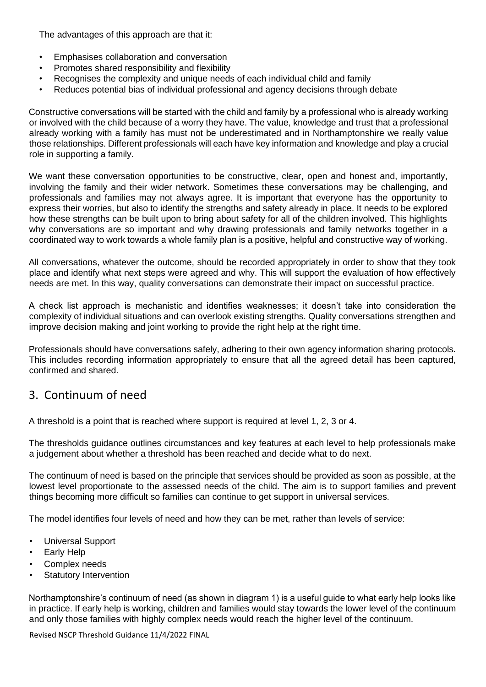The advantages of this approach are that it:

- Emphasises collaboration and conversation
- Promotes shared responsibility and flexibility
- Recognises the complexity and unique needs of each individual child and family
- Reduces potential bias of individual professional and agency decisions through debate

Constructive conversations will be started with the child and family by a professional who is already working or involved with the child because of a worry they have. The value, knowledge and trust that a professional already working with a family has must not be underestimated and in Northamptonshire we really value those relationships. Different professionals will each have key information and knowledge and play a crucial role in supporting a family.

We want these conversation opportunities to be constructive, clear, open and honest and, importantly, involving the family and their wider network. Sometimes these conversations may be challenging, and professionals and families may not always agree. It is important that everyone has the opportunity to express their worries, but also to identify the strengths and safety already in place. It needs to be explored how these strengths can be built upon to bring about safety for all of the children involved. This highlights why conversations are so important and why drawing professionals and family networks together in a coordinated way to work towards a whole family plan is a positive, helpful and constructive way of working.

All conversations, whatever the outcome, should be recorded appropriately in order to show that they took place and identify what next steps were agreed and why. This will support the evaluation of how effectively needs are met. In this way, quality conversations can demonstrate their impact on successful practice.

A check list approach is mechanistic and identifies weaknesses; it doesn't take into consideration the complexity of individual situations and can overlook existing strengths. Quality conversations strengthen and improve decision making and joint working to provide the right help at the right time.

Professionals should have conversations safely, adhering to their own agency information sharing protocols. This includes recording information appropriately to ensure that all the agreed detail has been captured, confirmed and shared.

# <span id="page-7-0"></span>3. Continuum of need

A threshold is a point that is reached where support is required at level 1, 2, 3 or 4.

The thresholds guidance outlines circumstances and key features at each level to help professionals make a judgement about whether a threshold has been reached and decide what to do next.

The continuum of need is based on the principle that services should be provided as soon as possible, at the lowest level proportionate to the assessed needs of the child. The aim is to support families and prevent things becoming more difficult so families can continue to get support in universal services.

The model identifies four levels of need and how they can be met, rather than levels of service:

- Universal Support
- Early Help
- Complex needs
- **Statutory Intervention**

Northamptonshire's continuum of need (as shown in diagram 1) is a useful guide to what early help looks like in practice. If early help is working, children and families would stay towards the lower level of the continuum and only those families with highly complex needs would reach the higher level of the continuum.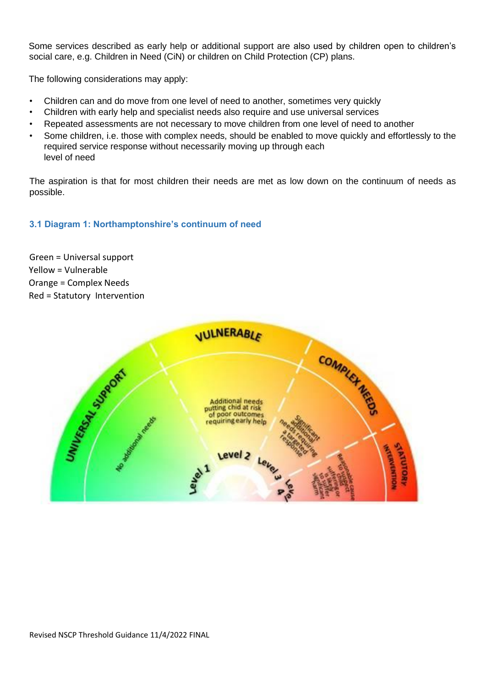Some services described as early help or additional support are also used by children open to children's social care, e.g. Children in Need (CiN) or children on Child Protection (CP) plans.

The following considerations may apply:

- Children can and do move from one level of need to another, sometimes very quickly
- Children with early help and specialist needs also require and use universal services
- Repeated assessments are not necessary to move children from one level of need to another
- Some children, i.e. those with complex needs, should be enabled to move quickly and effortlessly to the required service response without necessarily moving up through each level of need

The aspiration is that for most children their needs are met as low down on the continuum of needs as possible.

### **3.1 Diagram 1: Northamptonshire's continuum of need**

Green = Universal support Yellow = Vulnerable Orange = Complex Needs Red = StatutoryIntervention

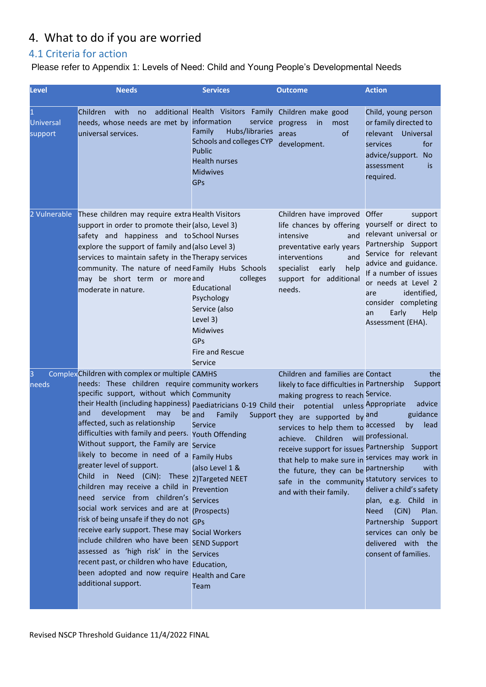# <span id="page-9-0"></span>4. What to do if you are worried

# <span id="page-9-1"></span>4.1 Criteria for action

# Please refer to Appendix 1: Levels of Need: Child and Young People's Developmental Needs

| <b>Level</b>                | <b>Needs</b>                                                                                                                                                                                                                                                                                                                                                                                                                                                                                                                                                                                                                                                                                                                                                                                                                                                                                                                                                        | <b>Services</b>                                                                                                                                                                | <b>Outcome</b>                                                                                                                                                                                                                                                                                                                                                                                                                                                             | <b>Action</b>                                                                                                                                                                                                                                                                      |
|-----------------------------|---------------------------------------------------------------------------------------------------------------------------------------------------------------------------------------------------------------------------------------------------------------------------------------------------------------------------------------------------------------------------------------------------------------------------------------------------------------------------------------------------------------------------------------------------------------------------------------------------------------------------------------------------------------------------------------------------------------------------------------------------------------------------------------------------------------------------------------------------------------------------------------------------------------------------------------------------------------------|--------------------------------------------------------------------------------------------------------------------------------------------------------------------------------|----------------------------------------------------------------------------------------------------------------------------------------------------------------------------------------------------------------------------------------------------------------------------------------------------------------------------------------------------------------------------------------------------------------------------------------------------------------------------|------------------------------------------------------------------------------------------------------------------------------------------------------------------------------------------------------------------------------------------------------------------------------------|
| <b>Universal</b><br>support | Children<br>with<br>no<br>needs, whose needs are met by information<br>universal services.                                                                                                                                                                                                                                                                                                                                                                                                                                                                                                                                                                                                                                                                                                                                                                                                                                                                          | additional Health Visitors Family<br>service<br>Hubs/libraries<br>Family<br><b>Schools and colleges CYP</b><br>Public<br><b>Health nurses</b><br><b>Midwives</b><br><b>GPs</b> | Children make good<br>progress<br>in<br>most<br>of<br>areas<br>development.                                                                                                                                                                                                                                                                                                                                                                                                | Child, young person<br>or family directed to<br>relevant Universal<br>for<br>services<br>advice/support. No<br>assessment<br>is<br>required.                                                                                                                                       |
| 2 Vulnerable                | These children may require extra Health Visitors<br>support in order to promote their (also, Level 3)<br>safety and happiness and to School Nurses<br>explore the support of family and (also Level 3)<br>services to maintain safety in the Therapy services<br>community. The nature of need Family Hubs Schools<br>may be short term or moreand<br>moderate in nature.                                                                                                                                                                                                                                                                                                                                                                                                                                                                                                                                                                                           | colleges<br>Educational<br>Psychology<br>Service (also<br>Level 3)<br><b>Midwives</b><br>GPs<br><b>Fire and Rescue</b><br>Service                                              | Children have improved<br>life chances by offering<br>intensive<br>and<br>preventative early years<br>interventions<br>and<br>specialist<br>early<br>help<br>support for additional<br>needs.                                                                                                                                                                                                                                                                              | Offer<br>support<br>yourself or direct to<br>relevant universal or<br>Partnership Support<br>Service for relevant<br>advice and guidance.<br>If a number of issues<br>or needs at Level 2<br>identified,<br>are<br>consider completing<br>Early<br>Help<br>an<br>Assessment (EHA). |
| З<br>needs                  | Complex Children with complex or multiple CAMHS<br>needs: These children require community workers<br>specific support, without which Community<br>their Health (including happiness) paediatricians 0-19 Child their<br>and<br>development<br>may<br>affected, such as relationship<br>difficulties with family and peers. Youth Offending<br>Without support, the Family are Service<br>likely to become in need of a Family Hubs<br>greater level of support.<br>Child in Need (CiN): These 2)Targeted NEET<br>children may receive a child in Prevention<br>need service from children's Services<br>social work services and are at (Prospects)<br>risk of being unsafe if they do not GPS<br>receive early support. These may Social Workers<br>include children who have been SEND Support<br>assessed as 'high risk' in the Services<br>recent past, or children who have Education,<br>been adopted and now require Health and Care<br>additional support. | be and<br>Family<br>Service<br>(also Level 1 &<br>Team                                                                                                                         | Children and families are Contact<br>likely to face difficulties in Partnership<br>making progress to reach Service.<br>potential unless Appropriate<br>Support they are supported by and<br>services to help them to accessed<br>Children<br>achieve.<br>receive support for issues Partnership Support<br>that help to make sure in services may work in<br>the future, they can be partnership<br>safe in the community statutory services to<br>and with their family. | the<br>Support<br>advice<br>guidance<br>by<br>lead<br>will professional.<br>with<br>deliver a child's safety<br>plan, e.g. Child in<br><b>Need</b><br>(CiN)<br>Plan.<br>Partnership Support<br>services can only be<br>delivered with the<br>consent of families.                  |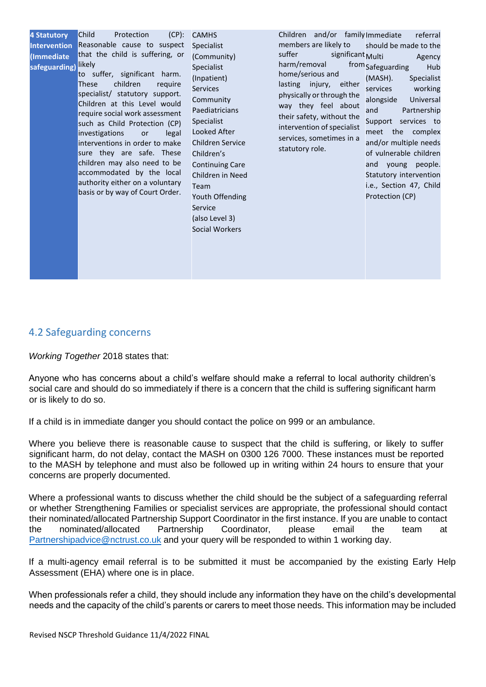| <b>4 Statutory</b><br><b>Intervention</b><br>(Immediate<br>safeguarding) | Child<br>Protection<br>$(CP)$ :<br>Reasonable cause to suspect<br>that the child is suffering, or<br>likely<br>to suffer, significant harm.<br>children<br>require<br>These<br>specialist/ statutory support.<br>Children at this Level would<br>require social work assessment<br>such as Child Protection (CP)<br>investigations<br>legal<br><b>or</b><br>interventions in order to make<br>sure they are safe. These<br>children may also need to be<br>accommodated by the local<br>authority either on a voluntary<br>basis or by way of Court Order. | <b>CAMHS</b><br><b>Specialist</b><br>(Community)<br><b>Specialist</b><br>(Inpatient)<br><b>Services</b><br>Community<br>Paediatricians<br><b>Specialist</b><br>Looked After<br>Children Service<br>Children's<br><b>Continuing Care</b><br>Children in Need<br>Team<br>Youth Offending<br>Service<br>(also Level 3)<br>Social Workers | Children and/or familyImmediate<br>members are likely to<br>suffer<br>significant Multi<br>harm/removal<br>home/serious and<br>lasting injury, either<br>physically or through the<br>way they feel about<br>their safety, without the<br>intervention of specialist<br>services, sometimes in a<br>statutory role. | referral<br>should be made to the<br>Agency<br>from Safeguarding<br>Hub<br>(MASH).<br>Specialist<br>working<br>services<br>alongside<br>Universal<br>Partnership<br>and<br>Support services to<br>meet the complex<br>and/or multiple needs<br>of vulnerable children<br>and young people.<br>Statutory intervention<br>i.e., Section 47, Child<br>Protection (CP) |
|--------------------------------------------------------------------------|------------------------------------------------------------------------------------------------------------------------------------------------------------------------------------------------------------------------------------------------------------------------------------------------------------------------------------------------------------------------------------------------------------------------------------------------------------------------------------------------------------------------------------------------------------|---------------------------------------------------------------------------------------------------------------------------------------------------------------------------------------------------------------------------------------------------------------------------------------------------------------------------------------|---------------------------------------------------------------------------------------------------------------------------------------------------------------------------------------------------------------------------------------------------------------------------------------------------------------------|--------------------------------------------------------------------------------------------------------------------------------------------------------------------------------------------------------------------------------------------------------------------------------------------------------------------------------------------------------------------|
|--------------------------------------------------------------------------|------------------------------------------------------------------------------------------------------------------------------------------------------------------------------------------------------------------------------------------------------------------------------------------------------------------------------------------------------------------------------------------------------------------------------------------------------------------------------------------------------------------------------------------------------------|---------------------------------------------------------------------------------------------------------------------------------------------------------------------------------------------------------------------------------------------------------------------------------------------------------------------------------------|---------------------------------------------------------------------------------------------------------------------------------------------------------------------------------------------------------------------------------------------------------------------------------------------------------------------|--------------------------------------------------------------------------------------------------------------------------------------------------------------------------------------------------------------------------------------------------------------------------------------------------------------------------------------------------------------------|

### <span id="page-10-0"></span>4.2 Safeguarding concerns

*Working Together* 2018 states that:

Anyone who has concerns about a child's welfare should make a referral to local authority children's social care and should do so immediately if there is a concern that the child is suffering significant harm or is likely to do so.

If a child is in immediate danger you should contact the police on 999 or an ambulance.

Where you believe there is reasonable cause to suspect that the child is suffering, or likely to suffer significant harm, do not delay, contact the MASH on 0300 126 7000. These instances must be reported to the MASH by telephone and must also be followed up in writing within 24 hours to ensure that your concerns are properly documented.

Where a professional wants to discuss whether the child should be the subject of a safeguarding referral or whether Strengthening Families or specialist services are appropriate, the professional should contact their nominated/allocated Partnership Support Coordinator in the first instance. If you are unable to contact the nominated/allocated Partnership Coordinator, please email the team at [Partnershipadvice@nctrust.co.uk](mailto:Partnershipadvice@nctrust.co.uk) and your query will be responded to within 1 working day.

If a multi-agency email referral is to be submitted it must be accompanied by the existing Early Help Assessment (EHA) where one is in place.

When professionals refer a child, they should include any information they have on the child's developmental needs and the capacity of the child's parents or carers to meet those needs. This information may be included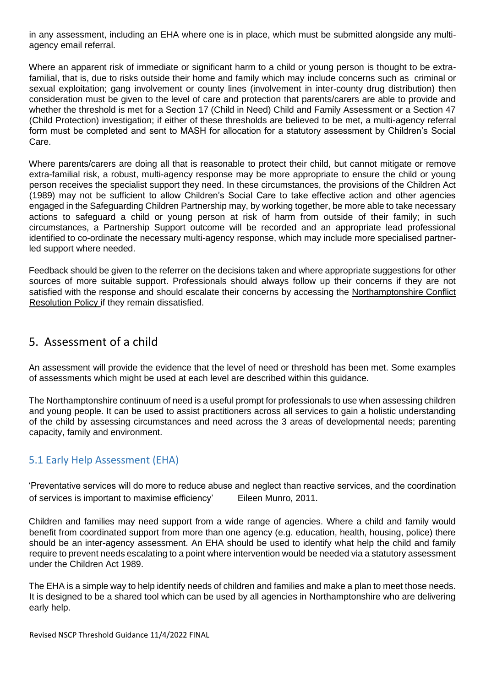in any assessment, including an EHA where one is in place, which must be submitted alongside any multiagency email referral.

Where an apparent risk of immediate or significant harm to a child or young person is thought to be extrafamilial, that is, due to risks outside their home and family which may include concerns such as criminal or sexual exploitation; gang involvement or county lines (involvement in inter-county drug distribution) then consideration must be given to the level of care and protection that parents/carers are able to provide and whether the threshold is met for a Section 17 (Child in Need) Child and Family Assessment or a Section 47 (Child Protection) investigation; if either of these thresholds are believed to be met, a multi-agency referral form must be completed and sent to MASH for allocation for a statutory assessment by Children's Social Care.

Where parents/carers are doing all that is reasonable to protect their child, but cannot mitigate or remove extra-familial risk, a robust, multi-agency response may be more appropriate to ensure the child or young person receives the specialist support they need. In these circumstances, the provisions of the Children Act (1989) may not be sufficient to allow Children's Social Care to take effective action and other agencies engaged in the Safeguarding Children Partnership may, by working together, be more able to take necessary actions to safeguard a child or young person at risk of harm from outside of their family; in such circumstances, a Partnership Support outcome will be recorded and an appropriate lead professional identified to co-ordinate the necessary multi-agency response, which may include more specialised partnerled support where needed.

Feedback should be given to the referrer on the decisions taken and where appropriate suggestions for other sources of more suitable support. Professionals should always follow up their concerns if they are not satisfied with the response and should escalate their concerns by accessing the [Northamptonshire Conflict](http://northamptonshirescb.proceduresonline.com/p_conflict_res.html)  [Resolution Policy if](http://northamptonshirescb.proceduresonline.com/p_conflict_res.html) they remain dissatisfied.

# <span id="page-11-0"></span>5. Assessment of a child

An assessment will provide the evidence that the level of need or threshold has been met. Some examples of assessments which might be used at each level are described within this guidance.

The Northamptonshire continuum of need is a useful prompt for professionals to use when assessing children and young people. It can be used to assist practitioners across all services to gain a holistic understanding of the child by assessing circumstances and need across the 3 areas of developmental needs; parenting capacity, family and environment.

# <span id="page-11-1"></span>5.1 Early Help Assessment (EHA)

'Preventative services will do more to reduce abuse and neglect than reactive services, and the coordination of services is important to maximise efficiency' Eileen Munro, 2011.

Children and families may need support from a wide range of agencies. Where a child and family would benefit from coordinated support from more than one agency (e.g. education, health, housing, police) there should be an inter-agency assessment. An EHA should be used to identify what help the child and family require to prevent needs escalating to a point where intervention would be needed via a statutory assessment under the Children Act 1989.

The EHA is a simple way to help identify needs of children and families and make a plan to meet those needs. It is designed to be a shared tool which can be used by all agencies in Northamptonshire who are delivering early help.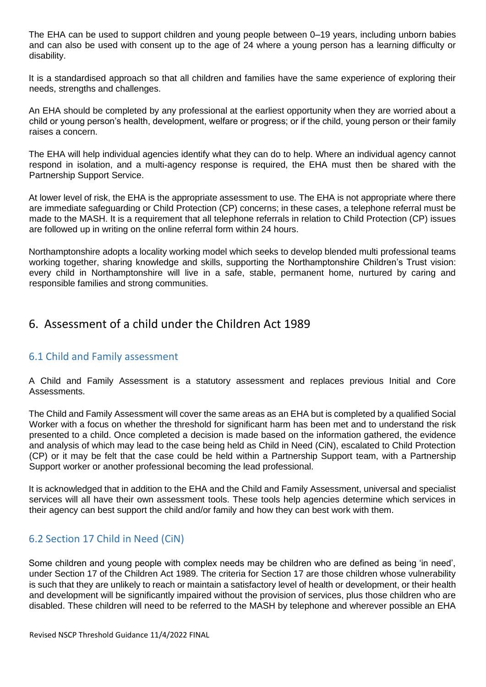The EHA can be used to support children and young people between 0–19 years, including unborn babies and can also be used with consent up to the age of 24 where a young person has a learning difficulty or disability.

It is a standardised approach so that all children and families have the same experience of exploring their needs, strengths and challenges.

An EHA should be completed by any professional at the earliest opportunity when they are worried about a child or young person's health, development, welfare or progress; or if the child, young person or their family raises a concern.

The EHA will help individual agencies identify what they can do to help. Where an individual agency cannot respond in isolation, and a multi-agency response is required, the EHA must then be shared with the Partnership Support Service.

At lower level of risk, the EHA is the appropriate assessment to use. The EHA is not appropriate where there are immediate safeguarding or Child Protection (CP) concerns; in these cases, a telephone referral must be made to the MASH. It is a requirement that all telephone referrals in relation to Child Protection (CP) issues are followed up in writing on the online referral form within 24 hours.

Northamptonshire adopts a locality working model which seeks to develop blended multi professional teams working together, sharing knowledge and skills, supporting the Northamptonshire Children's Trust vision: every child in Northamptonshire will live in a safe, stable, permanent home, nurtured by caring and responsible families and strong communities.

# <span id="page-12-0"></span>6. Assessment of a child under the Children Act 1989

# <span id="page-12-1"></span>6.1 Child and Family assessment

A Child and Family Assessment is a statutory assessment and replaces previous Initial and Core Assessments.

The Child and Family Assessment will cover the same areas as an EHA but is completed by a qualified Social Worker with a focus on whether the threshold for significant harm has been met and to understand the risk presented to a child. Once completed a decision is made based on the information gathered, the evidence and analysis of which may lead to the case being held as Child in Need (CiN), escalated to Child Protection (CP) or it may be felt that the case could be held within a Partnership Support team, with a Partnership Support worker or another professional becoming the lead professional.

It is acknowledged that in addition to the EHA and the Child and Family Assessment, universal and specialist services will all have their own assessment tools. These tools help agencies determine which services in their agency can best support the child and/or family and how they can best work with them.

# <span id="page-12-2"></span>6.2 Section 17 Child in Need (CiN)

Some children and young people with complex needs may be children who are defined as being 'in need', under Section 17 of the Children Act 1989. The criteria for Section 17 are those children whose vulnerability is such that they are unlikely to reach or maintain a satisfactory level of health or development, or their health and development will be significantly impaired without the provision of services, plus those children who are disabled. These children will need to be referred to the MASH by telephone and wherever possible an EHA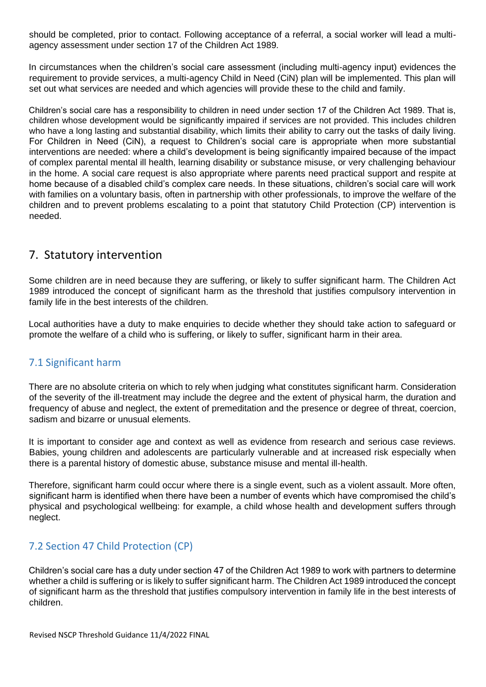should be completed, prior to contact. Following acceptance of a referral, a social worker will lead a multiagency assessment under section 17 of the Children Act 1989.

In circumstances when the children's social care assessment (including multi-agency input) evidences the requirement to provide services, a multi-agency Child in Need (CiN) plan will be implemented. This plan will set out what services are needed and which agencies will provide these to the child and family.

Children's social care has a responsibility to children in need under section 17 of the Children Act 1989. That is, children whose development would be significantly impaired if services are not provided. This includes children who have a long lasting and substantial disability, which limits their ability to carry out the tasks of daily living. For Children in Need (CiN), a request to Children's social care is appropriate when more substantial interventions are needed: where a child's development is being significantly impaired because of the impact of complex parental mental ill health, learning disability or substance misuse, or very challenging behaviour in the home. A social care request is also appropriate where parents need practical support and respite at home because of a disabled child's complex care needs. In these situations, children's social care will work with families on a voluntary basis, often in partnership with other professionals, to improve the welfare of the children and to prevent problems escalating to a point that statutory Child Protection (CP) intervention is needed.

# <span id="page-13-0"></span>7. Statutory intervention

Some children are in need because they are suffering, or likely to suffer significant harm. The Children Act 1989 introduced the concept of significant harm as the threshold that justifies compulsory intervention in family life in the best interests of the children.

Local authorities have a duty to make enquiries to decide whether they should take action to safeguard or promote the welfare of a child who is suffering, or likely to suffer, significant harm in their area.

# <span id="page-13-1"></span>7.1 Significant harm

There are no absolute criteria on which to rely when judging what constitutes significant harm. Consideration of the severity of the ill-treatment may include the degree and the extent of physical harm, the duration and frequency of abuse and neglect, the extent of premeditation and the presence or degree of threat, coercion, sadism and bizarre or unusual elements.

It is important to consider age and context as well as evidence from research and serious case reviews. Babies, young children and adolescents are particularly vulnerable and at increased risk especially when there is a parental history of domestic abuse, substance misuse and mental ill-health.

Therefore, significant harm could occur where there is a single event, such as a violent assault. More often, significant harm is identified when there have been a number of events which have compromised the child's physical and psychological wellbeing: for example, a child whose health and development suffers through neglect.

# <span id="page-13-2"></span>7.2 Section 47 Child Protection (CP)

Children's social care has a duty under section 47 of the Children Act 1989 to work with partners to determine whether a child is suffering or is likely to suffer significant harm. The Children Act 1989 introduced the concept of significant harm as the threshold that justifies compulsory intervention in family life in the best interests of children.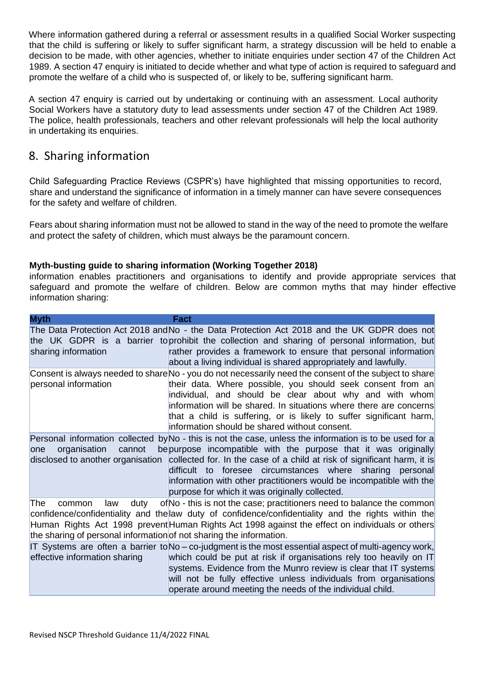Where information gathered during a referral or assessment results in a qualified Social Worker suspecting that the child is suffering or likely to suffer significant harm, a strategy discussion will be held to enable a decision to be made, with other agencies, whether to initiate enquiries under section 47 of the Children Act 1989. A section 47 enquiry is initiated to decide whether and what type of action is required to safeguard and promote the welfare of a child who is suspected of, or likely to be, suffering significant harm.

A section 47 enquiry is carried out by undertaking or continuing with an assessment. Local authority Social Workers have a statutory duty to lead assessments under section 47 of the Children Act 1989. The police, health professionals, teachers and other relevant professionals will help the local authority in undertaking its enquiries.

# <span id="page-14-0"></span>8. Sharing information

Child Safeguarding Practice Reviews (CSPR's) have highlighted that missing opportunities to record, share and understand the significance of information in a timely manner can have severe consequences for the safety and welfare of children.

Fears about sharing information must not be allowed to stand in the way of the need to promote the welfare and protect the safety of children, which must always be the paramount concern.

### <span id="page-14-1"></span>**Myth-busting guide to sharing information (Working Together 2018)**

information enables practitioners and organisations to identify and provide appropriate services that safeguard and promote the welfare of children. Below are common myths that may hinder effective information sharing:

| <b>Myth</b>                                                                                         | Fact                                                                                                                                                                                                                                                                                                                                                                                                                                         |
|-----------------------------------------------------------------------------------------------------|----------------------------------------------------------------------------------------------------------------------------------------------------------------------------------------------------------------------------------------------------------------------------------------------------------------------------------------------------------------------------------------------------------------------------------------------|
| sharing information                                                                                 | The Data Protection Act 2018 and No - the Data Protection Act 2018 and the UK GDPR does not<br>the UK GDPR is a barrier to prohibit the collection and sharing of personal information, but<br>rather provides a framework to ensure that personal information<br>about a living individual is shared appropriately and lawfully.                                                                                                            |
| personal information                                                                                | Consent is always needed to share No - you do not necessarily need the consent of the subject to share<br>their data. Where possible, you should seek consent from an<br>individual, and should be clear about why and with whom<br>information will be shared. In situations where there are concerns<br>that a child is suffering, or is likely to suffer significant harm,<br>information should be shared without consent.               |
| organisation<br>cannot<br>lone<br>disclosed to another organisation                                 | Personal information collected by No - this is not the case, unless the information is to be used for a<br>be purpose incompatible with the purpose that it was originally<br>collected for. In the case of a child at risk of significant harm, it is<br>difficult to foresee circumstances where sharing personal<br>information with other practitioners would be incompatible with the<br>purpose for which it was originally collected. |
| The<br>duty<br>common<br>law<br>the sharing of personal information of not sharing the information. | of No - this is not the case; practitioners need to balance the common<br>confidence/confidentiality and the law duty of confidence/confidentiality and the rights within the<br>Human Rights Act 1998 prevent Human Rights Act 1998 against the effect on individuals or others                                                                                                                                                             |
| effective information sharing                                                                       | IT Systems are often a barrier to No – co-judgment is the most essential aspect of multi-agency work,<br>which could be put at risk if organisations rely too heavily on IT<br>systems. Evidence from the Munro review is clear that IT systems<br>will not be fully effective unless individuals from organisations<br>operate around meeting the needs of the individual child.                                                            |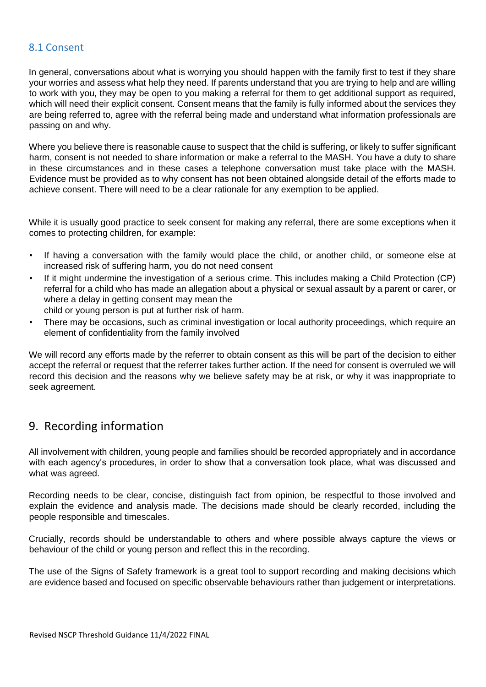### <span id="page-15-0"></span>8.1 Consent

In general, conversations about what is worrying you should happen with the family first to test if they share your worries and assess what help they need. If parents understand that you are trying to help and are willing to work with you, they may be open to you making a referral for them to get additional support as required, which will need their explicit consent. Consent means that the family is fully informed about the services they are being referred to, agree with the referral being made and understand what information professionals are passing on and why.

Where you believe there is reasonable cause to suspect that the child is suffering, or likely to suffer significant harm, consent is not needed to share information or make a referral to the MASH. You have a duty to share in these circumstances and in these cases a telephone conversation must take place with the MASH. Evidence must be provided as to why consent has not been obtained alongside detail of the efforts made to achieve consent. There will need to be a clear rationale for any exemption to be applied.

While it is usually good practice to seek consent for making any referral, there are some exceptions when it comes to protecting children, for example:

- If having a conversation with the family would place the child, or another child, or someone else at increased risk of suffering harm, you do not need consent
- If it might undermine the investigation of a serious crime. This includes making a Child Protection (CP) referral for a child who has made an allegation about a physical or sexual assault by a parent or carer, or where a delay in getting consent may mean the child or young person is put at further risk of harm.
- There may be occasions, such as criminal investigation or local authority proceedings, which require an element of confidentiality from the family involved

We will record any efforts made by the referrer to obtain consent as this will be part of the decision to either accept the referral or request that the referrer takes further action. If the need for consent is overruled we will record this decision and the reasons why we believe safety may be at risk, or why it was inappropriate to seek agreement.

# <span id="page-15-1"></span>9. Recording information

All involvement with children, young people and families should be recorded appropriately and in accordance with each agency's procedures, in order to show that a conversation took place, what was discussed and what was agreed.

Recording needs to be clear, concise, distinguish fact from opinion, be respectful to those involved and explain the evidence and analysis made. The decisions made should be clearly recorded, including the people responsible and timescales.

Crucially, records should be understandable to others and where possible always capture the views or behaviour of the child or young person and reflect this in the recording.

The use of the Signs of Safety framework is a great tool to support recording and making decisions which are evidence based and focused on specific observable behaviours rather than judgement or interpretations.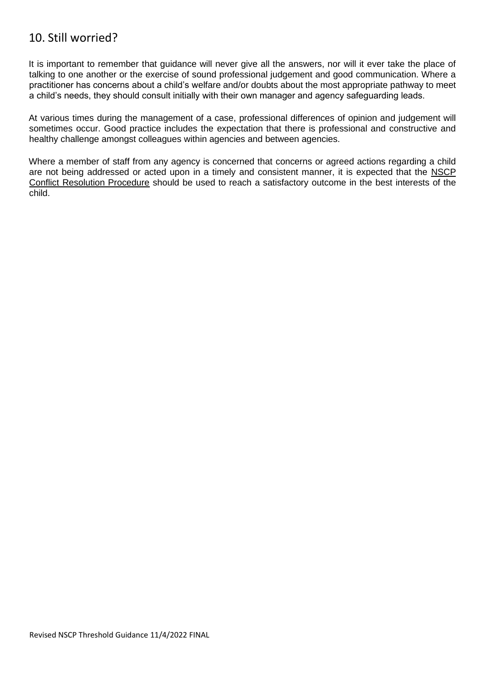# <span id="page-16-0"></span>10. Still worried?

It is important to remember that guidance will never give all the answers, nor will it ever take the place of talking to one another or the exercise of sound professional judgement and good communication. Where a practitioner has concerns about a child's welfare and/or doubts about the most appropriate pathway to meet a child's needs, they should consult initially with their own manager and agency safeguarding leads.

At various times during the management of a case, professional differences of opinion and judgement will sometimes occur. Good practice includes the expectation that there is professional and constructive and healthy challenge amongst colleagues within agencies and between agencies.

Where a member of staff from any agency is concerned that concerns or agreed actions regarding a child are not being addressed or acted upon in a timely and consistent manner, it is expected that the [NSCP](http://www.northamptonshirescb.org.uk/about-northamptonshire-safeguarding-children-board/policies/conflict-resolution/) [Conflict Resolution Procedure](http://www.northamptonshirescb.org.uk/about-northamptonshire-safeguarding-children-board/policies/conflict-resolution/) [sh](http://www.northamptonshirescb.org.uk/about-northamptonshire-safeguarding-children-board/policies/conflict-resolution/)ould be used to reach a satisfactory outcome in the best interests of the child.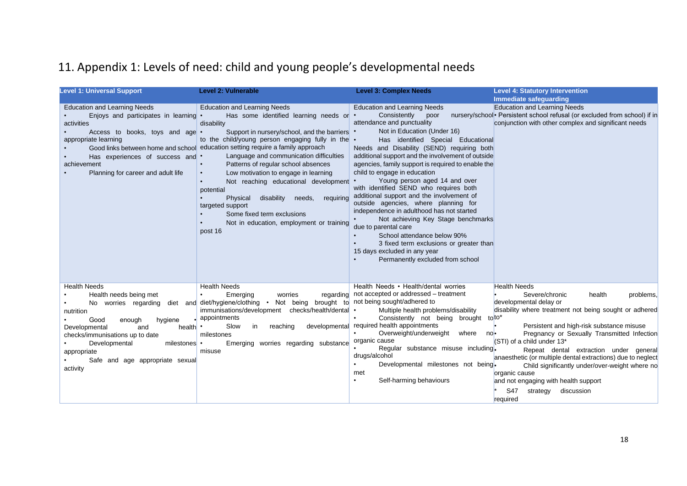# 11. Appendix 1: Levels of need: child and young people's developmental needs

<span id="page-17-0"></span>

| <b>Level 1: Universal Support</b>                                                                                                                                                                                                                                                   | <b>Level 2: Vulnerable</b>                                                                                                                                                                                                                                                                                                                                                                                                                                                                                                                                                                                 | <b>Level 3: Complex Needs</b>                                                                                                                                                                                                                                                                                                                                                                                                                                                                                                                                                                                                                                                                                                                                                 | <b>Level 4: Statutory Intervention</b>                                                                                                                                                                                                                                                                                                                                                                                                                                                                                                                |
|-------------------------------------------------------------------------------------------------------------------------------------------------------------------------------------------------------------------------------------------------------------------------------------|------------------------------------------------------------------------------------------------------------------------------------------------------------------------------------------------------------------------------------------------------------------------------------------------------------------------------------------------------------------------------------------------------------------------------------------------------------------------------------------------------------------------------------------------------------------------------------------------------------|-------------------------------------------------------------------------------------------------------------------------------------------------------------------------------------------------------------------------------------------------------------------------------------------------------------------------------------------------------------------------------------------------------------------------------------------------------------------------------------------------------------------------------------------------------------------------------------------------------------------------------------------------------------------------------------------------------------------------------------------------------------------------------|-------------------------------------------------------------------------------------------------------------------------------------------------------------------------------------------------------------------------------------------------------------------------------------------------------------------------------------------------------------------------------------------------------------------------------------------------------------------------------------------------------------------------------------------------------|
|                                                                                                                                                                                                                                                                                     |                                                                                                                                                                                                                                                                                                                                                                                                                                                                                                                                                                                                            |                                                                                                                                                                                                                                                                                                                                                                                                                                                                                                                                                                                                                                                                                                                                                                               | Immediate safeguarding                                                                                                                                                                                                                                                                                                                                                                                                                                                                                                                                |
| <b>Education and Learning Needs</b><br>Enjoys and participates in learning .<br>activities<br>Access to books, toys and age •<br>appropriate learning<br>Good links between home and school<br>Has experiences of success and<br>achievement<br>Planning for career and adult life  | <b>Education and Learning Needs</b><br>Has some identified learning needs or •<br>disability<br>Support in nursery/school, and the barriers .<br>to the child/young person engaging fully in the $\cdot$<br>education setting require a family approach<br>Language and communication difficulties<br>Patterns of regular school absences<br>Low motivation to engage in learning<br>$\bullet$<br>Not reaching educational development<br>potential<br>disability needs,<br>requiring<br>Physical<br>targeted support<br>Some fixed term exclusions<br>Not in education, employment or training<br>post 16 | <b>Education and Learning Needs</b><br>Consistently poor<br>attendance and punctuality<br>Not in Education (Under 16)<br>Has identified Special Educational<br>Needs and Disability (SEND) requiring both<br>additional support and the involvement of outside<br>agencies, family support is required to enable the<br>child to engage in education<br>Young person aged 14 and over<br>with identified SEND who requires both<br>additional support and the involvement of<br>outside agencies, where planning for<br>independence in adulthood has not started<br>Not achieving Key Stage benchmarks<br>due to parental care<br>School attendance below 90%<br>3 fixed term exclusions or greater than<br>15 days excluded in any year<br>Permanently excluded from school | Education and Learning Needs<br>nursery/school • Persistent school refusal (or excluded from school) if in<br>conjunction with other complex and significant needs                                                                                                                                                                                                                                                                                                                                                                                    |
| <b>Health Needs</b><br>Health needs being met<br>No worries regarding<br>nutrition<br>Good<br>enough<br>hygiene<br>health<br>Developmental<br>and<br>checks/immunisations up to date<br>Developmental<br>milestones •<br>appropriate<br>Safe and age appropriate sexual<br>activity | <b>Health Needs</b><br>Emerging<br>worries<br>diet and diet/hygiene/clothing $\cdot$<br>immunisations/development checks/health/dental •<br>appointments<br>Slow<br>reaching<br>in<br>milestones<br>Emerging worries regarding substance<br>misuse                                                                                                                                                                                                                                                                                                                                                         | Health Needs • Health/dental worries<br>regarding not accepted or addressed - treatment<br>Not being brought to not being sought/adhered to<br>Multiple health problems/disability<br>Consistently not being brought<br>developmental required health appointments<br>Overweight/underweight<br>where<br>no•<br>organic cause<br>Regular substance misuse including.<br>drugs/alcohol<br>Developmental milestones not being.<br>met<br>Self-harming behaviours<br>٠                                                                                                                                                                                                                                                                                                           | <b>Health Needs</b><br>Severe/chronic<br>health<br>problems.<br>developmental delay or<br>disability where treatment not being sought or adhered<br>tolto*<br>Persistent and high-risk substance misuse<br>Pregnancy or Sexually Transmitted Infection<br>(STI) of a child under 13*<br>Repeat dental extraction under general<br>anaesthetic (or multiple dental extractions) due to neglect<br>Child significantly under/over-weight where no<br>organic cause<br>and not engaging with health support<br>S47<br>discussion<br>strategy<br>required |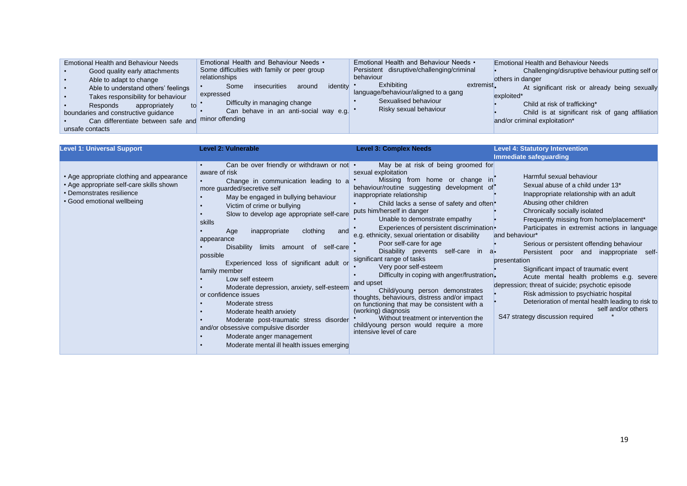| <b>Level 1: Universal Support</b>                                                                                                                | <b>Level 2: Vulnerable</b>                                                                                                                                                                                                                                                                                                                                                                                                                                                                                                                                                                                                                                                                                                                         | <b>Level 3: Complex Needs</b>                                                                                                                                                                                                                                                                                                                                                                                                                                                                                                                                                                                                                                                                                                                                                                                                                                        | <b>Level 4: Statutory Intervention</b>                                                                                                                                                                                                                                                                                                                                                                                                                                                                                                                                                                                                                                                       |
|--------------------------------------------------------------------------------------------------------------------------------------------------|----------------------------------------------------------------------------------------------------------------------------------------------------------------------------------------------------------------------------------------------------------------------------------------------------------------------------------------------------------------------------------------------------------------------------------------------------------------------------------------------------------------------------------------------------------------------------------------------------------------------------------------------------------------------------------------------------------------------------------------------------|----------------------------------------------------------------------------------------------------------------------------------------------------------------------------------------------------------------------------------------------------------------------------------------------------------------------------------------------------------------------------------------------------------------------------------------------------------------------------------------------------------------------------------------------------------------------------------------------------------------------------------------------------------------------------------------------------------------------------------------------------------------------------------------------------------------------------------------------------------------------|----------------------------------------------------------------------------------------------------------------------------------------------------------------------------------------------------------------------------------------------------------------------------------------------------------------------------------------------------------------------------------------------------------------------------------------------------------------------------------------------------------------------------------------------------------------------------------------------------------------------------------------------------------------------------------------------|
|                                                                                                                                                  |                                                                                                                                                                                                                                                                                                                                                                                                                                                                                                                                                                                                                                                                                                                                                    |                                                                                                                                                                                                                                                                                                                                                                                                                                                                                                                                                                                                                                                                                                                                                                                                                                                                      | Immediate safeguarding                                                                                                                                                                                                                                                                                                                                                                                                                                                                                                                                                                                                                                                                       |
| • Age appropriate clothing and appearance<br>• Age appropriate self-care skills shown<br>• Demonstrates resilience<br>• Good emotional wellbeing | Can be over friendly or withdrawn or not •<br>aware of risk<br>Change in communication leading to a<br>more guarded/secretive self<br>May be engaged in bullying behaviour<br>Victim of crime or bullying<br>Slow to develop age appropriate self-care<br>skills<br>clothing<br>inappropriate<br>Age<br>and<br>appearance<br>Disability<br>limits amount of self-care<br>possible<br>Experienced loss of significant adult or<br>family member<br>Low self esteem<br>Moderate depression, anxiety, self-esteem<br>or confidence issues<br>Moderate stress<br>Moderate health anxiety<br>Moderate post-traumatic stress disorder<br>and/or obsessive compulsive disorder<br>Moderate anger management<br>Moderate mental ill health issues emerging | May be at risk of being groomed for<br>sexual exploitation<br>Missing from home or change in<br>behaviour/routine suggesting development of<br>inappropriate relationship<br>Child lacks a sense of safety and often <sup>•</sup><br>puts him/herself in danger<br>Unable to demonstrate empathy<br>Experiences of persistent discrimination •<br>e.g. ethnicity, sexual orientation or disability<br>Poor self-care for age<br>Disability prevents self-care in<br>-a•<br>significant range of tasks<br>Very poor self-esteem<br>Difficulty in coping with anger/frustration.<br>and upset<br>Child/young person demonstrates<br>thoughts, behaviours, distress and/or impact<br>on functioning that may be consistent with a<br>(working) diagnosis<br>Without treatment or intervention the<br>child/young person would require a more<br>intensive level of care | Harmful sexual behaviour<br>Sexual abuse of a child under 13*<br>Inappropriate relationship with an adult<br>Abusing other children<br>Chronically socially isolated<br>Frequently missing from home/placement*<br>Participates in extremist actions in language<br>and behaviour*<br>Serious or persistent offending behaviour<br>Persistent poor and inappropriate self-<br>presentation<br>Significant impact of traumatic event<br>Acute mental health problems e.g. severe<br>depression; threat of suicide; psychotic episode<br>Risk admission to psychiatric hospital<br>Deterioration of mental health leading to risk to<br>self and/or others<br>S47 strategy discussion required |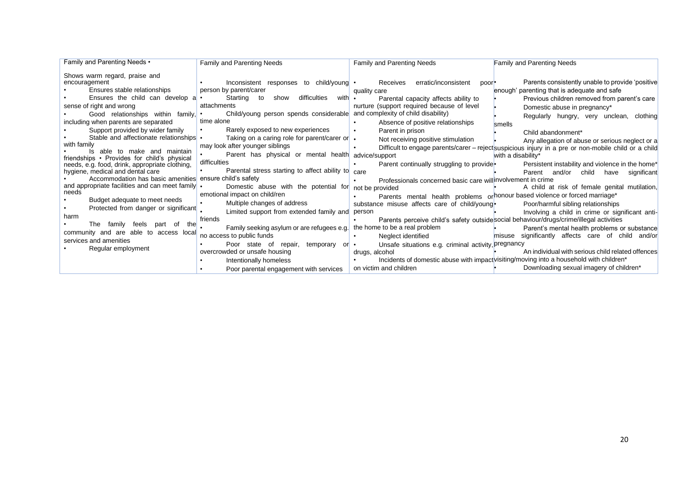| Family and Parenting Needs •                                                       | Family and Parenting Needs                                                 | <b>Family and Parenting Needs</b>                            | <b>Family and Parenting Needs</b>                                                                    |
|------------------------------------------------------------------------------------|----------------------------------------------------------------------------|--------------------------------------------------------------|------------------------------------------------------------------------------------------------------|
| Shows warm regard, praise and<br>encouragement                                     | Inconsistent responses to child/young •                                    | erratic/inconsistent<br>Receives<br>poor <sup>.</sup>        | Parents consistently unable to provide 'positive                                                     |
| Ensures stable relationships                                                       | person by parent/carer                                                     |                                                              |                                                                                                      |
|                                                                                    |                                                                            | quality care                                                 | enough' parenting that is adequate and safe                                                          |
| Ensures the child can develop a                                                    | Starting<br>to<br>with<br>show<br>difficulties                             | Parental capacity affects ability to                         | Previous children removed from parent's care                                                         |
| sense of right and wrong                                                           | attachments                                                                | nurture (support required because of level                   | Domestic abuse in pregnancy*                                                                         |
| Good relationships within family,                                                  | Child/young person spends considerable and complexity of child disability) |                                                              | Regularly hungry, very unclean, clothing                                                             |
| including when parents are separated                                               | time alone                                                                 | Absence of positive relationships                            | smells                                                                                               |
| Support provided by wider family                                                   | Rarely exposed to new experiences                                          | Parent in prison                                             | Child abandonment*                                                                                   |
| Stable and affectionate relationships •                                            | Taking on a caring role for parent/carer or .                              | Not receiving positive stimulation                           | Any allegation of abuse or serious neglect or a                                                      |
| with family                                                                        | may look after younger siblings                                            |                                                              | Difficult to engage parents/carer - reject suspicious injury in a pre or non-mobile child or a child |
| Is able to make and maintain                                                       | Parent has physical or mental health                                       | advice/support                                               | with a disability*                                                                                   |
| friendships • Provides for child's physical                                        | difficulties                                                               | Parent continually struggling to provide.                    | Persistent instability and violence in the home*                                                     |
| needs, e.g. food, drink, appropriate clothing,<br>hygiene, medical and dental care | Parental stress starting to affect ability to                              | care                                                         | Parent                                                                                               |
| Accommodation has basic amenities ensure child's safety                            |                                                                            |                                                              | and/or<br>child<br>have<br>significant                                                               |
| and appropriate facilities and can meet family .                                   |                                                                            | Professionals concerned basic care will involvement in crime |                                                                                                      |
| needs                                                                              | Domestic abuse with the potential for                                      | not be provided                                              | A child at risk of female genital mutilation,                                                        |
| Budget adequate to meet needs                                                      | emotional impact on child/ren                                              |                                                              | Parents mental health problems or honour based violence or forced marriage*                          |
| Protected from danger or significant                                               | Multiple changes of address                                                | substance misuse affects care of child/young-                | Poor/harmful sibling relationships                                                                   |
|                                                                                    | Limited support from extended family and                                   | person                                                       | Involving a child in crime or significant anti-                                                      |
| harm                                                                               | friends                                                                    |                                                              | Parents perceive child's safety outside social behaviour/drugs/crime/illegal activities              |
| family<br>feels<br>thel<br>The<br>part<br>of                                       | Family seeking asylum or are refugees e.g.                                 | the home to be a real problem                                | Parent's mental health problems or substance                                                         |
| community and are able to access local                                             | no access to public funds                                                  | Neglect identified                                           | significantly affects care of child and/or<br>misuse                                                 |
| services and amenities                                                             | Poor state of<br>repair,<br>temporary<br>or •                              | Unsafe situations e.g. criminal activity, pregnancy          |                                                                                                      |
| Regular employment                                                                 | overcrowded or unsafe housing                                              | drugs, alcohol                                               | An individual with serious child related offences                                                    |
|                                                                                    | Intentionally homeless                                                     |                                                              | Incidents of domestic abuse with impact visiting/moving into a household with children*              |
|                                                                                    |                                                                            | on victim and children                                       | Downloading sexual imagery of children*                                                              |
|                                                                                    | Poor parental engagement with services                                     |                                                              |                                                                                                      |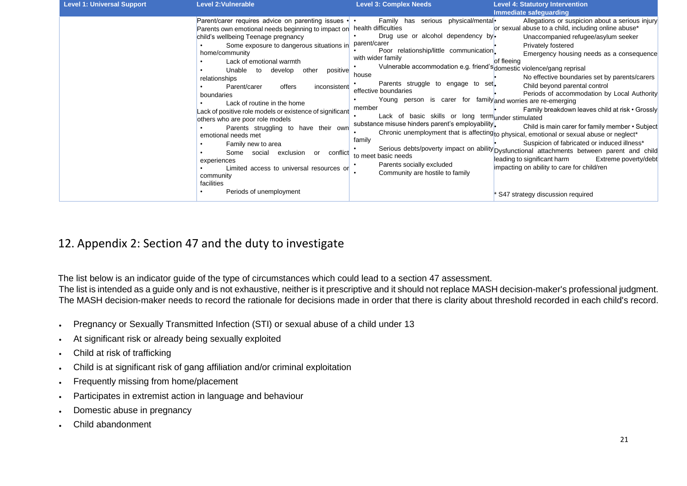| <b>Level 1: Universal Support</b> | <b>Level 2: Vulnerable</b>                                                                                                                                                                                                                                                                                                                                                                                                                                                                                                                                                                                                                                                                                                                                          | <b>Level 3: Complex Needs</b>                                                                                                                                                                                                                                                                                                                                                                                                                                                                                                                                                                                          | <b>Level 4: Statutory Intervention</b>                                                                                                                                                                                                                                                                                                                                                                                                                                                                                                                                                                                                                                                                                                                                                                                                                  |
|-----------------------------------|---------------------------------------------------------------------------------------------------------------------------------------------------------------------------------------------------------------------------------------------------------------------------------------------------------------------------------------------------------------------------------------------------------------------------------------------------------------------------------------------------------------------------------------------------------------------------------------------------------------------------------------------------------------------------------------------------------------------------------------------------------------------|------------------------------------------------------------------------------------------------------------------------------------------------------------------------------------------------------------------------------------------------------------------------------------------------------------------------------------------------------------------------------------------------------------------------------------------------------------------------------------------------------------------------------------------------------------------------------------------------------------------------|---------------------------------------------------------------------------------------------------------------------------------------------------------------------------------------------------------------------------------------------------------------------------------------------------------------------------------------------------------------------------------------------------------------------------------------------------------------------------------------------------------------------------------------------------------------------------------------------------------------------------------------------------------------------------------------------------------------------------------------------------------------------------------------------------------------------------------------------------------|
|                                   |                                                                                                                                                                                                                                                                                                                                                                                                                                                                                                                                                                                                                                                                                                                                                                     |                                                                                                                                                                                                                                                                                                                                                                                                                                                                                                                                                                                                                        | Immediate safeguarding                                                                                                                                                                                                                                                                                                                                                                                                                                                                                                                                                                                                                                                                                                                                                                                                                                  |
|                                   | Parent/carer requires advice on parenting issues $\cdot \cdot$<br>Parents own emotional needs beginning to impact on<br>child's wellbeing Teenage pregnancy<br>Some exposure to dangerous situations in<br>home/community<br>Lack of emotional warmth<br>Unable<br>positive<br>develop<br>other<br>to<br>relationships<br>Parent/carer<br>offers<br>inconsistent<br>boundaries<br>Lack of routine in the home<br>Lack of positive role models or existence of significant<br>others who are poor role models<br>Parents struggling to have their own<br>emotional needs met<br>Family new to area<br>Some<br>social<br>exclusion<br>conflict<br>or<br>experiences<br>Limited access to universal resources or<br>community<br>facilities<br>Periods of unemployment | Family has serious physical/mentall•<br>health difficulties<br>Drug use or alcohol dependency by.<br>parent/carer<br>Poor relationship/little communication.<br>with wider family<br>Vulnerable accommodation e.g. friend's domestic violence/gang reprisal<br>house<br>Parents struggle to engage to set.<br>effective boundaries<br>Young person is carer for family and worries are re-emerging<br>member<br>Lack of basic skills or long termunder stimulated<br>substance misuse hinders parent's employability.<br>family<br>to meet basic needs<br>Parents socially excluded<br>Community are hostile to family | Allegations or suspicion about a serious injury<br>or sexual abuse to a child, including online abuse*<br>Unaccompanied refugee/asylum seeker<br>Privately fostered<br>Emergency housing needs as a consequence<br>of fleeing<br>No effective boundaries set by parents/carers<br>Child beyond parental control<br>Periods of accommodation by Local Authority<br>Family breakdown leaves child at risk • Grossly<br>Child is main carer for family member • Subject<br>Chronic unemployment that is affecting to physical, emotional or sexual abuse or neglect*<br>Suspicion of fabricated or induced illness*<br>Serious debts/poverty impact on ability Dysfunctional attachments between parent and child<br>leading to significant harm<br>Extreme poverty/debt<br>impacting on ability to care for child/ren<br>S47 strategy discussion required |

# 12. Appendix 2: Section 47 and the duty to investigate

The list below is an indicator guide of the type of circumstances which could lead to a section 47 assessment. The list is intended as a guide only and is not exhaustive, neither is it prescriptive and it should not replace MASH decision-maker's professional judgment.

The MASH decision-maker needs to record the rationale for decisions made in order that there is clarity about threshold recorded in each child's record.

- Pregnancy or Sexually Transmitted Infection (STI) or sexual abuse of a child under 13
- At significant risk or already being sexually exploited
- Child at risk of trafficking
- Child is at significant risk of gang affiliation and/or criminal exploitation
- Frequently missing from home/placement
- Participates in extremist action in language and behaviour
- Domestic abuse in pregnancy
- <span id="page-20-0"></span>• Child abandonment